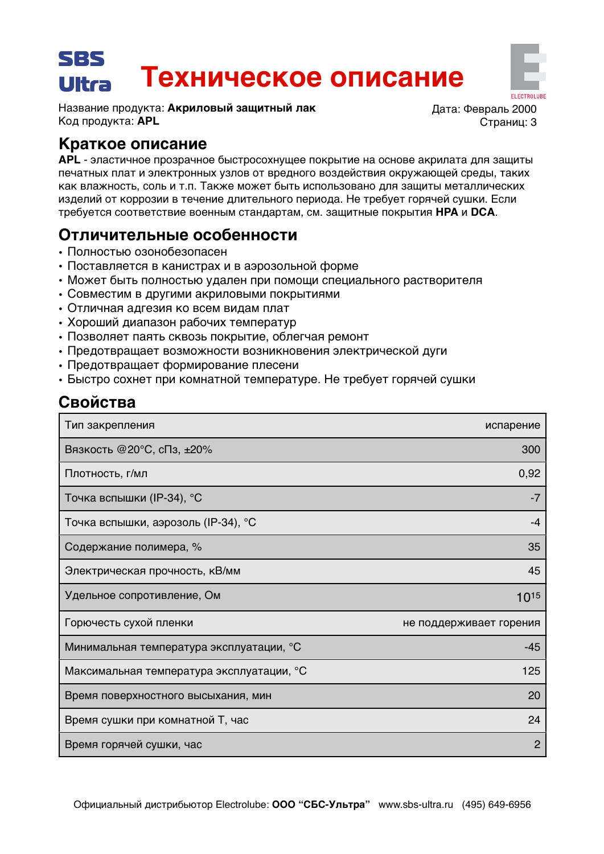#### SRS Техническое описание Ultra

Название продукта: Акриловый защитный лак Код продукта: APL

Лата: Февраль 2000 Страниц: 3

## Краткое описание

APL - эластичное прозрачное быстросохнущее покрытие на основе акрилата для защиты печатных плат и электронных узлов от вредного воздействия окружающей среды, таких как влажность, соль и т.п. Также может быть использовано для защиты металлических изделий от коррозии в течение длительного периода. Не требует горячей сушки. Если требуется соответствие военным стандартам, см. защитные покрытия НРА и DCA.

## Отличительные особенности

- Полностью озонобезопасен
- Поставляется в канистрах и в аэрозольной форме
- Может быть полностью удален при помощи специального растворителя
- Совместим в другими акриловыми покрытиями
- Отличная адгезия ко всем видам плат
- Хороший диапазон рабочих температур
- Позволяет паять сквозь покрытие, облегчая ремонт
- Предотвращает возможности возникновения электрической дуги
- Предотвращает формирование плесени
- Быстро сохнет при комнатной температуре. Не требует горячей сушки

# Свойства

| Тип закрепления                           | испарение               |
|-------------------------------------------|-------------------------|
| Вязкость @20°С, сПз, ±20%                 | 300                     |
| Плотность, г/мл                           | 0,92                    |
| Точка вспышки (IP-34), °С                 | -7                      |
| Точка вспышки, аэрозоль (IP-34), °С       | -4                      |
| Содержание полимера, %                    | 35                      |
| Электрическая прочность, кВ/мм            | 45                      |
| Удельное сопротивление, Ом                | 1015                    |
| Горючесть сухой пленки                    | не поддерживает горения |
| Минимальная температура эксплуатации, °С  | $-45$                   |
| Максимальная температура эксплуатации, °С | 125                     |
| Время поверхностного высыхания, мин       | 20                      |
| Время сушки при комнатной Т, час          | 24                      |
| Время горячей сушки, час                  | $\overline{2}$          |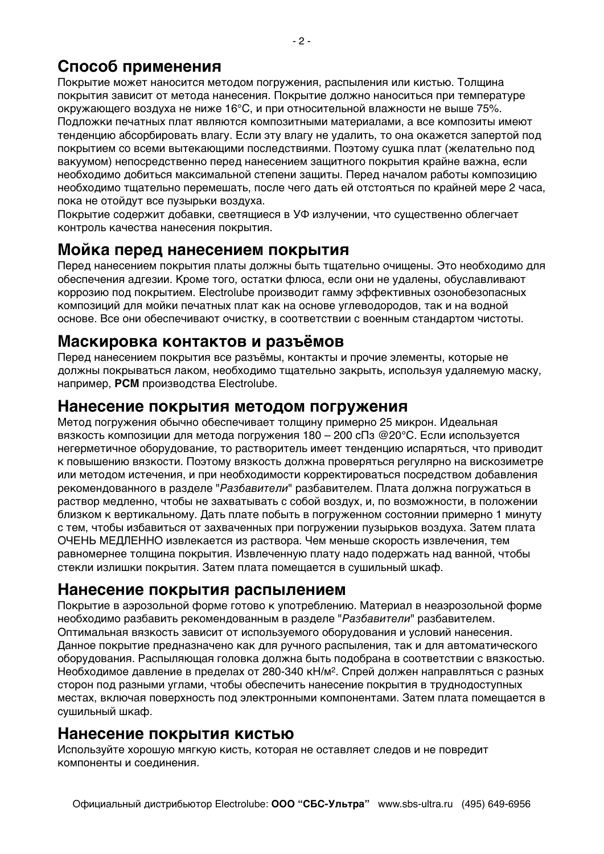# Способ применения

Покрытие может наносится методом погружения, распыления или кистью. Толщина покрытия зависит от метода нанесения. Покрытие должно наноситься при температуре окружающего воздуха не ниже 16°С, и при относительной влажности не выше 75%. Подложки печатных плат являются композитными материалами, а все композиты имеют тенденцию абсорбировать влагу. Если эту влагу не удалить, то она окажется запертой под покрытием со всеми вытекающими последствиями. Поэтому сушка плат (желательно под вакуумом) непосредственно перед нанесением защитного покрытия крайне важна, если необходимо добиться максимальной степени защиты. Перед началом работы композицию необходимо тщательно перемешать, после чего дать ей отстояться по крайней мере 2 часа, пока не отойдут все пузырьки воздуха.

Покрытие содержит добавки, светящиеся в УФ излучении, что существенно облегчает контроль качества нанесения покрытия.

## Мойка перед нанесением покрытия

Перед нанесением покрытия платы должны быть тщательно очищены. Это необходимо для обеспечения адгезии. Кроме того, остатки флюса, если они не удалены, обуславливают коррозию под покрытием. Electrolube производит гамму эффективных озонобезопасных композиций для мойки печатных плат как на основе углеводородов, так и на водной основе. Все они обеспечивают очистку, в соответствии с военным стандартом чистоты.

## Маскировка контактов и разъёмов

Перед нанесением покрытия все разъёмы, контакты и прочие элементы, которые не должны покрываться лаком, необходимо тщательно закрыть, используя удаляемую маску, например, PCM производства Electrolube.

#### Нанесение покрытия методом погружения

Метод погружения обычно обеспечивает толщину примерно 25 микрон. Идеальная вязкость композиции для метода погружения 180 - 200 сПз @20°С. Если используется негерметичное оборудование, то растворитель имеет тенденцию испаряться, что приводит к повышению вязкости. Поэтому вязкость должна проверяться регулярно на вискозиметре или методом истечения, и при необходимости корректироваться посредством добавления рекомендованного в разделе "Разбавители" разбавителем. Плата должна погружаться в раствор медленно, чтобы не захватывать с собой воздух, и, по возможности, в положении близком к вертикальному. Дать плате побыть в погруженном состоянии примерно 1 минуту с тем, чтобы избавиться от захваченных при погружении пузырьков воздуха. Затем плата ОЧЕНЬ МЕДЛЕННО извлекается из раствора. Чем меньше скорость извлечения, тем равномернее толщина покрытия. Извлеченную плату надо подержать над ванной, чтобы стекли излишки покрытия. Затем плата помещается в сушильный шкаф.

### Нанесение покрытия распылением

Покрытие в аэрозольной форме готово к употреблению. Материал в неаэрозольной форме необходимо разбавить рекомендованным в разделе "Разбавители" разбавителем. Оптимальная вязкость зависит от используемого оборудования и условий нанесения. Данное покрытие предназначено как для ручного распыления, так и для автоматического оборудования. Распыляющая головка должна быть подобрана в соответствии с вязкостью. Необходимое давление в пределах от 280-340 кН/м<sup>2</sup>. Спрей должен направляться с разных сторон под разными углами, чтобы обеспечить нанесение покрытия в труднодоступных местах, включая поверхность под электронными компонентами. Затем плата помещается в сушильный шкаф.

### Нанесение покрытия кистью

Используйте хорошую мягкую кисть, которая не оставляет следов и не повредит компоненты и соединения.